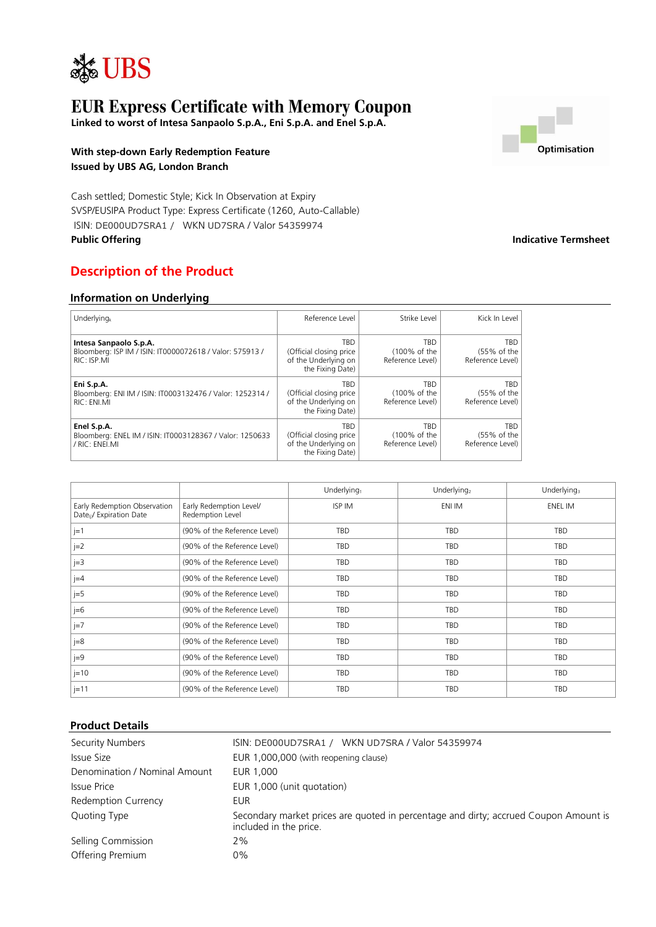

# **EUR Express Certificate with Memory Coupon**

**Linked to worst of Intesa Sanpaolo S.p.A., Eni S.p.A. and Enel S.p.A.**

**With step-down Early Redemption Feature Issued by UBS AG, London Branch**

Cash settled; Domestic Style; Kick In Observation at Expiry SVSP/EUSIPA Product Type: Express Certificate (1260, Auto-Callable) ISIN: DE000UD7SRA1 / WKN UD7SRA / Valor 54359974 **Public Offering Indicative Termsheet**

# **Description of the Product**

## **Information on Underlying**

| Underlying $_{k}$                                                                                 | Reference Level                                                            | Strike Level                                   | Kick In Level                                 |
|---------------------------------------------------------------------------------------------------|----------------------------------------------------------------------------|------------------------------------------------|-----------------------------------------------|
| Intesa Sanpaolo S.p.A.<br>Bloomberg: ISP IM / ISIN: IT0000072618 / Valor: 575913 /<br>RIC: ISP.MI | TRD<br>(Official closing price<br>of the Underlying on<br>the Fixing Date) | <b>TRD</b><br>(100% of the<br>Reference Level) | TRD<br>(55% of the<br>Reference Level)        |
| Eni S.p.A.<br>Bloomberg: ENI IM / ISIN: IT0003132476 / Valor: 1252314 /<br>RIC: ENI.MI            | TRD<br>(Official closing price<br>of the Underlying on<br>the Fixing Date) | <b>TRD</b><br>(100% of the<br>Reference Level) | <b>TRD</b><br>(55% of the<br>Reference Level) |
| Enel S.p.A.<br>Bloomberg: ENEL IM / ISIN: IT0003128367 / Valor: 1250633<br>/ RIC: ENEI.MI         | TRD<br>(Official closing price<br>of the Underlying on<br>the Fixing Date) | <b>TRD</b><br>(100% of the<br>Reference Level) | TRD<br>(55% of the<br>Reference Level)        |

|                                                                     |                                             | Underlying <sub>1</sub> | Underlying <sub>2</sub> | Underlying <sub>3</sub> |
|---------------------------------------------------------------------|---------------------------------------------|-------------------------|-------------------------|-------------------------|
| Early Redemption Observation<br>Date <sub>0</sub> / Expiration Date | Early Redemption Level/<br>Redemption Level | ISP IM                  | ENI IM                  | ENEL IM                 |
| $i=1$                                                               | (90% of the Reference Level)                | <b>TBD</b>              | <b>TBD</b>              | <b>TBD</b>              |
| $j=2$                                                               | (90% of the Reference Level)                | <b>TBD</b>              | TBD                     | TBD                     |
| $i=3$                                                               | (90% of the Reference Level)                | TBD                     | <b>TBD</b>              | <b>TBD</b>              |
| $i=4$                                                               | (90% of the Reference Level)                | <b>TBD</b>              | <b>TRD</b>              | <b>TBD</b>              |
| $i=5$                                                               | (90% of the Reference Level)                | TBD                     | TBD                     | TBD                     |
| $i=6$                                                               | (90% of the Reference Level)                | TBD                     | TBD                     | TBD                     |
| $i=7$                                                               | (90% of the Reference Level)                | TBD                     | <b>TBD</b>              | <b>TBD</b>              |
| $i=8$                                                               | (90% of the Reference Level)                | <b>TBD</b>              | <b>TBD</b>              | TBD                     |
| $i=9$                                                               | (90% of the Reference Level)                | <b>TBD</b>              | <b>TBD</b>              | <b>TBD</b>              |
| $i=10$                                                              | (90% of the Reference Level)                | TBD                     | <b>TBD</b>              | <b>TBD</b>              |
| $i=11$                                                              | (90% of the Reference Level)                | <b>TRD</b>              | <b>TRD</b>              | <b>TBD</b>              |

# **Product Details**

| Security Numbers              | ISIN: DE000UD7SRA1 / WKN UD7SRA / Valor 54359974                                                               |
|-------------------------------|----------------------------------------------------------------------------------------------------------------|
| <b>Issue Size</b>             | EUR 1,000,000 (with reopening clause)                                                                          |
| Denomination / Nominal Amount | EUR 1,000                                                                                                      |
| <b>Issue Price</b>            | EUR 1,000 (unit quotation)                                                                                     |
| <b>Redemption Currency</b>    | EUR                                                                                                            |
| Quoting Type                  | Secondary market prices are quoted in percentage and dirty; accrued Coupon Amount is<br>included in the price. |
| Selling Commission            | 2%                                                                                                             |
| Offering Premium              | $0\%$                                                                                                          |

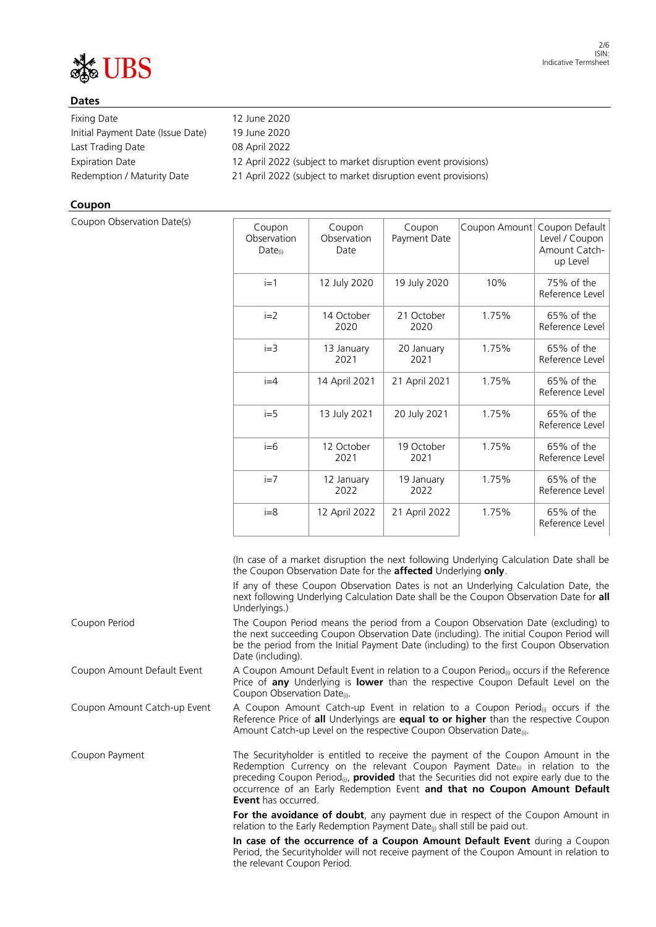# **Dates**

| Fixing Date                       | 12 June 2020                                                  |
|-----------------------------------|---------------------------------------------------------------|
| Initial Payment Date (Issue Date) | 19 June 2020                                                  |
| Last Trading Date                 | 08 April 2022                                                 |
| <b>Expiration Date</b>            | 12 April 2022 (subject to market disruption event provisions) |
| Redemption / Maturity Date        | 21 April 2022 (subject to market disruption event provisions) |
|                                   |                                                               |

# **Coupon**

Coupon Observation Date(s)

| Coupon<br>Observation<br>$Date_{(i)}$ | Coupon<br>Observation<br>Date | Coupon<br>Payment Date | Coupon Amount | Coupon Default<br>Level / Coupon<br>Amount Catch-<br>up Level |
|---------------------------------------|-------------------------------|------------------------|---------------|---------------------------------------------------------------|
| $i=1$                                 | 12 July 2020                  | 19 July 2020           | 10%           | 75% of the<br>Reference Level                                 |
| $i=2$                                 | 14 October<br>2020            | 21 October<br>2020     | 1.75%         | 65% of the<br>Reference Level                                 |
| $i=3$                                 | 13 January<br>2021            | 20 January<br>2021     | 1.75%         | 65% of the<br>Reference Level                                 |
| $i=4$                                 | 14 April 2021                 | 21 April 2021          | 1.75%         | 65% of the<br>Reference Level                                 |
| $i=5$                                 | 13 July 2021                  | 20 July 2021           | 1.75%         | 65% of the<br>Reference Level                                 |
| $i=6$                                 | 12 October<br>2021            | 19 October<br>2021     | 1.75%         | 65% of the<br>Reference Level                                 |
| $i=7$                                 | 12 January<br>2022            | 19 January<br>2022     | 1.75%         | 65% of the<br>Reference Level                                 |
| $i=8$                                 | 12 April 2022                 | 21 April 2022          | 1.75%         | 65% of the<br>Reference Level                                 |

(In case of a market disruption the next following Underlying Calculation Date shall be the Coupon Observation Date for the **affected** Underlying **only**.

If any of these Coupon Observation Dates is not an Underlying Calculation Date, the next following Underlying Calculation Date shall be the Coupon Observation Date for **all**  Underlyings.)

Coupon Period The Coupon Period means the period from a Coupon Observation Date (excluding) to the next succeeding Coupon Observation Date (including). The initial Coupon Period will be the period from the Initial Payment Date (including) to the first Coupon Observation Date (including).

Coupon Amount Default Event  $A$  Coupon Amount Default Event in relation to a Coupon Period<sub>(i)</sub> occurs if the Reference Price of **any** Underlying is **lower** than the respective Coupon Default Level on the Coupon Observation Date<sub>(i)</sub>.

Coupon Amount Catch-up Event A Coupon Amount Catch-up Event in relation to a Coupon Period<sub>(i)</sub> occurs if the Reference Price of **all** Underlyings are **equal to or higher** than the respective Coupon Amount Catch-up Level on the respective Coupon Observation Date $_{(i)}$ .

Coupon Payment The Securityholder is entitled to receive the payment of the Coupon Amount in the Redemption Currency on the relevant Coupon Payment Date $_{(i)}$  in relation to the preceding Coupon Period<sub>(i)</sub>, **provided** that the Securities did not expire early due to the occurrence of an Early Redemption Event **and that no Coupon Amount Default Event** has occurred.

> For the avoidance of doubt, any payment due in respect of the Coupon Amount in relation to the Early Redemption Payment Date $_{(i)}$  shall still be paid out.

> **In case of the occurrence of a Coupon Amount Default Event** during a Coupon Period, the Securityholder will not receive payment of the Coupon Amount in relation to the relevant Coupon Period.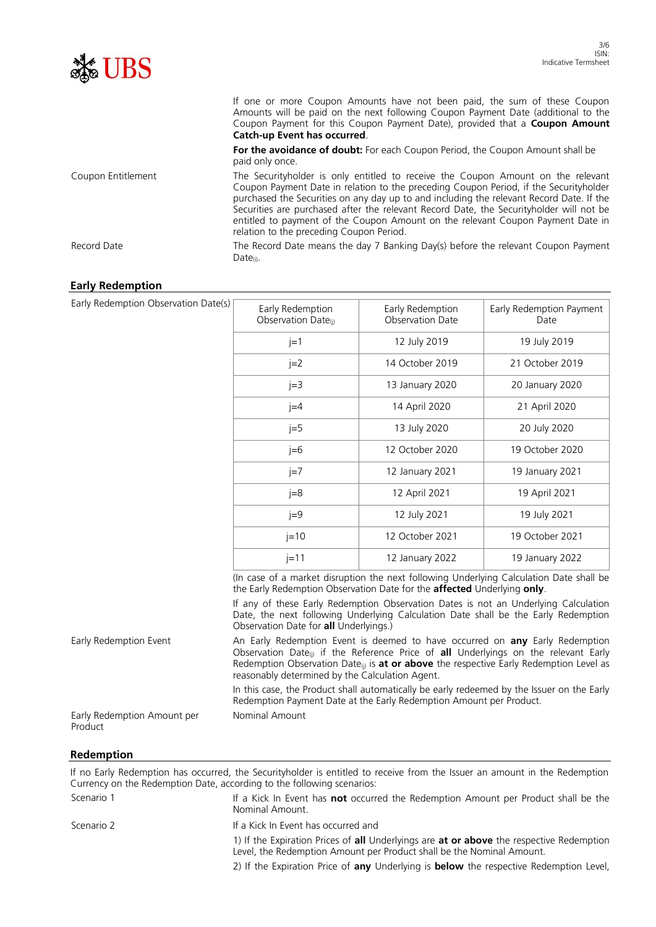

| If one or more Coupon Amounts have not been paid, the sum of these Coupon          |  |
|------------------------------------------------------------------------------------|--|
| Amounts will be paid on the next following Coupon Payment Date (additional to the  |  |
| Coupon Payment for this Coupon Payment Date), provided that a <b>Coupon Amount</b> |  |
| <b>Catch-up Event has occurred.</b>                                                |  |

For the avoidance of doubt: For each Coupon Period, the Coupon Amount shall be paid only once.

Coupon Entitlement The Securityholder is only entitled to receive the Coupon Amount on the relevant Coupon Payment Date in relation to the preceding Coupon Period, if the Securityholder purchased the Securities on any day up to and including the relevant Record Date. If the Securities are purchased after the relevant Record Date, the Securityholder will not be entitled to payment of the Coupon Amount on the relevant Coupon Payment Date in relation to the preceding Coupon Period.

Record Date The Record Date means the day 7 Banking Day(s) before the relevant Coupon Payment

## **Early Redemption**

Date<sub>(i)</sub>.

| Early Redemption Observation Date(s) | Early Redemption<br>Observation Date $_{(i)}$ | Early Redemption<br>Observation Date                                    | Early Redemption Payment<br>Date                                                        |
|--------------------------------------|-----------------------------------------------|-------------------------------------------------------------------------|-----------------------------------------------------------------------------------------|
|                                      | $j=1$                                         | 12 July 2019                                                            | 19 July 2019                                                                            |
|                                      | $j=2$                                         | 14 October 2019                                                         | 21 October 2019                                                                         |
|                                      | $j=3$                                         | 13 January 2020                                                         | 20 January 2020                                                                         |
|                                      | $j=4$                                         | 14 April 2020                                                           | 21 April 2020                                                                           |
|                                      | $j=5$                                         | 13 July 2020                                                            | 20 July 2020                                                                            |
|                                      | $j=6$                                         | 12 October 2020                                                         | 19 October 2020                                                                         |
|                                      | $j=7$                                         | 12 January 2021                                                         | 19 January 2021                                                                         |
|                                      | $j=8$                                         | 12 April 2021                                                           | 19 April 2021                                                                           |
|                                      | $i=9$                                         | 12 July 2021                                                            | 19 July 2021                                                                            |
|                                      | $i=10$                                        | 12 October 2021                                                         | 19 October 2021                                                                         |
|                                      | $j=11$                                        | 12 January 2022                                                         | 19 January 2022                                                                         |
|                                      |                                               | the Early Redemption Observation Date for the affected Underlying only. | (In case of a market disruption the next following Underlying Calculation Date shall be |

If any of these Early Redemption Observation Dates is not an Underlying Calculation Date, the next following Underlying Calculation Date shall be the Early Redemption Observation Date for **all** Underlyings.)

Early Redemption Event An Early Redemption Event is deemed to have occurred on **any** Early Redemption Observation Date<sub>(i)</sub> if the Reference Price of all Underlyings on the relevant Early Redemption Observation Date<sub>(i)</sub> is at or above the respective Early Redemption Level as reasonably determined by the Calculation Agent.

> In this case, the Product shall automatically be early redeemed by the Issuer on the Early Redemption Payment Date at the Early Redemption Amount per Product.

Early Redemption Amount per Product

### **Redemption**

If no Early Redemption has occurred, the Securityholder is entitled to receive from the Issuer an amount in the Redemption Currency on the Redemption Date, according to the following scenarios:

Nominal Amount

| Scenario 1 | If a Kick In Event has <b>not</b> occurred the Redemption Amount per Product shall be the<br>Nominal Amount.                                                                    |
|------------|---------------------------------------------------------------------------------------------------------------------------------------------------------------------------------|
| Scenario 2 | If a Kick In Event has occurred and                                                                                                                                             |
|            | 1) If the Expiration Prices of <b>all</b> Underlyings are <b>at or above</b> the respective Redemption<br>Level, the Redemption Amount per Product shall be the Nominal Amount. |
|            | 2) If the Expiration Price of any Underlying is below the respective Redemption Level,                                                                                          |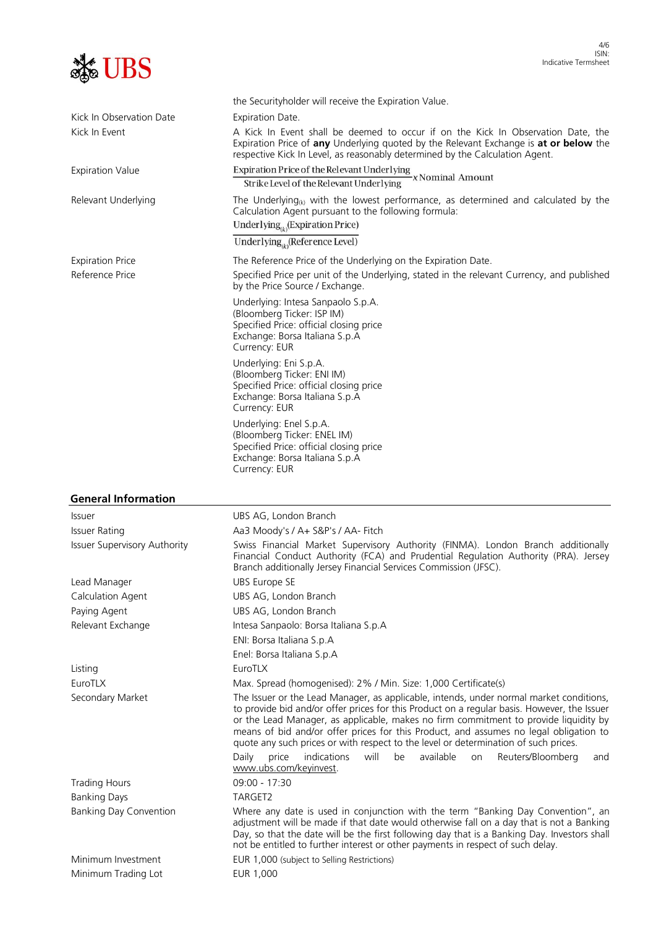|                                            | ISIN:<br>Indicative Termsheet                                                                                                                                                                                                                                                                                                                                                                                                                                                                                                     |
|--------------------------------------------|-----------------------------------------------------------------------------------------------------------------------------------------------------------------------------------------------------------------------------------------------------------------------------------------------------------------------------------------------------------------------------------------------------------------------------------------------------------------------------------------------------------------------------------|
|                                            | the Securityholder will receive the Expiration Value.                                                                                                                                                                                                                                                                                                                                                                                                                                                                             |
| Kick In Observation Date                   | Expiration Date.                                                                                                                                                                                                                                                                                                                                                                                                                                                                                                                  |
| Kick In Event                              | A Kick In Event shall be deemed to occur if on the Kick In Observation Date, the<br>Expiration Price of any Underlying quoted by the Relevant Exchange is at or below the<br>respective Kick In Level, as reasonably determined by the Calculation Agent.                                                                                                                                                                                                                                                                         |
| <b>Expiration Value</b>                    | Expiration Price of the Relevant Underlying<br>Nominal Amount<br>Strike Level of the Relevant Underlying                                                                                                                                                                                                                                                                                                                                                                                                                          |
| Relevant Underlying                        | The Underlying <sub>(k)</sub> with the lowest performance, as determined and calculated by the<br>Calculation Agent pursuant to the following formula:<br>Underlying <sub>(k)</sub> (Expiration Price)<br>Underlying <sub>(<math>\nu</math></sub> )(Reference Level)                                                                                                                                                                                                                                                              |
|                                            |                                                                                                                                                                                                                                                                                                                                                                                                                                                                                                                                   |
| <b>Expiration Price</b><br>Reference Price | The Reference Price of the Underlying on the Expiration Date.<br>Specified Price per unit of the Underlying, stated in the relevant Currency, and published<br>by the Price Source / Exchange.                                                                                                                                                                                                                                                                                                                                    |
|                                            | Underlying: Intesa Sanpaolo S.p.A.<br>(Bloomberg Ticker: ISP IM)<br>Specified Price: official closing price<br>Exchange: Borsa Italiana S.p.A<br>Currency: EUR                                                                                                                                                                                                                                                                                                                                                                    |
|                                            | Underlying: Eni S.p.A.<br>(Bloomberg Ticker: ENI IM)<br>Specified Price: official closing price<br>Exchange: Borsa Italiana S.p.A<br>Currency: EUR                                                                                                                                                                                                                                                                                                                                                                                |
|                                            | Underlying: Enel S.p.A.<br>(Bloomberg Ticker: ENEL IM)<br>Specified Price: official closing price<br>Exchange: Borsa Italiana S.p.A<br>Currency: EUR                                                                                                                                                                                                                                                                                                                                                                              |
| <b>General Information</b>                 |                                                                                                                                                                                                                                                                                                                                                                                                                                                                                                                                   |
| <b>Issuer</b>                              | UBS AG, London Branch                                                                                                                                                                                                                                                                                                                                                                                                                                                                                                             |
| Issuer Rating                              | Aa3 Moody's / A+ S&P's / AA- Fitch                                                                                                                                                                                                                                                                                                                                                                                                                                                                                                |
| <b>Issuer Supervisory Authority</b>        | Swiss Financial Market Supervisory Authority (FINMA). London Branch additionally<br>Financial Conduct Authority (FCA) and Prudential Regulation Authority (PRA). Jersey<br>Branch additionally Jersey Financial Services Commission (JFSC).                                                                                                                                                                                                                                                                                       |
| Lead Manager                               | UBS Europe SE                                                                                                                                                                                                                                                                                                                                                                                                                                                                                                                     |
| Calculation Agent                          | UBS AG, London Branch                                                                                                                                                                                                                                                                                                                                                                                                                                                                                                             |
| Paying Agent                               | UBS AG, London Branch                                                                                                                                                                                                                                                                                                                                                                                                                                                                                                             |
| Relevant Exchange                          | Intesa Sanpaolo: Borsa Italiana S.p.A                                                                                                                                                                                                                                                                                                                                                                                                                                                                                             |
|                                            | ENI: Borsa Italiana S.p.A                                                                                                                                                                                                                                                                                                                                                                                                                                                                                                         |
|                                            | Enel: Borsa Italiana S.p.A                                                                                                                                                                                                                                                                                                                                                                                                                                                                                                        |
| Listing                                    | EuroTLX                                                                                                                                                                                                                                                                                                                                                                                                                                                                                                                           |
| EuroTLX<br>Secondary Market                | Max. Spread (homogenised): 2% / Min. Size: 1,000 Certificate(s)<br>The Issuer or the Lead Manager, as applicable, intends, under normal market conditions,<br>to provide bid and/or offer prices for this Product on a regular basis. However, the Issuer<br>or the Lead Manager, as applicable, makes no firm commitment to provide liquidity by<br>means of bid and/or offer prices for this Product, and assumes no legal obligation to<br>quote any such prices or with respect to the level or determination of such prices. |
|                                            | indications<br>will<br>available<br>Reuters/Bloomberg<br>Daily<br>price<br>be<br>on<br>and<br>www.ubs.com/keyinvest.                                                                                                                                                                                                                                                                                                                                                                                                              |
| <b>Trading Hours</b>                       | 09:00 - 17:30                                                                                                                                                                                                                                                                                                                                                                                                                                                                                                                     |
| <b>Banking Days</b>                        | TARGET2                                                                                                                                                                                                                                                                                                                                                                                                                                                                                                                           |
| <b>Banking Day Convention</b>              | Where any date is used in conjunction with the term "Banking Day Convention", an<br>adjustment will be made if that date would otherwise fall on a day that is not a Banking<br>Day, so that the date will be the first following day that is a Banking Day. Investors shall<br>not be entitled to further interest or other payments in respect of such delay.                                                                                                                                                                   |
| Minimum Investment                         | EUR 1,000 (subject to Selling Restrictions)                                                                                                                                                                                                                                                                                                                                                                                                                                                                                       |
| Minimum Trading Lot                        | EUR 1,000                                                                                                                                                                                                                                                                                                                                                                                                                                                                                                                         |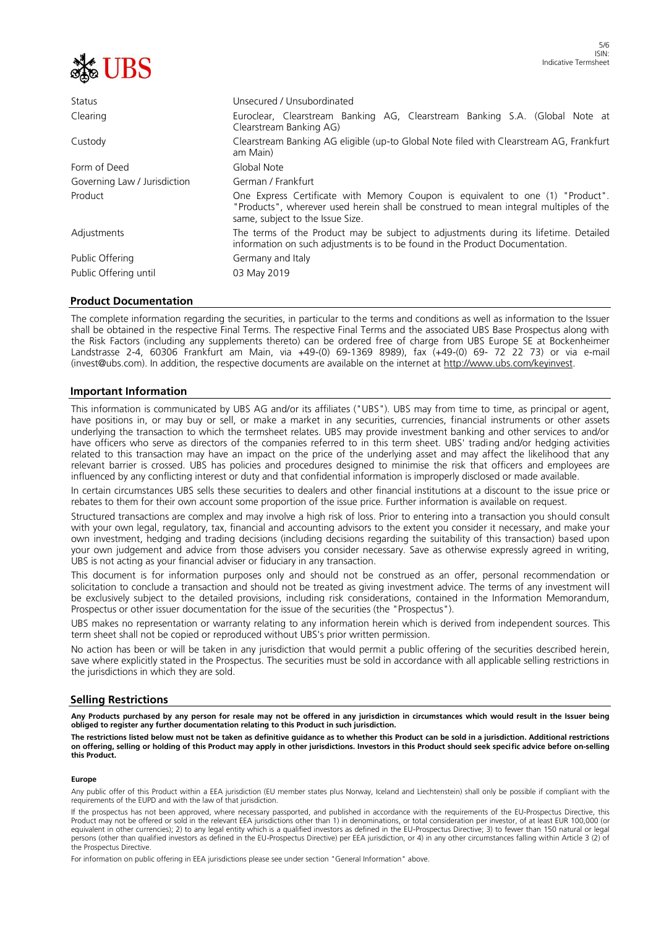

| Unsecured / Unsubordinated                                                                                                                                                                                  |
|-------------------------------------------------------------------------------------------------------------------------------------------------------------------------------------------------------------|
| Euroclear, Clearstream Banking AG, Clearstream Banking S.A. (Global Note at<br>Clearstream Banking AG)                                                                                                      |
| Clearstream Banking AG eligible (up-to Global Note filed with Clearstream AG, Frankfurt<br>am Main)                                                                                                         |
| Global Note                                                                                                                                                                                                 |
| German / Frankfurt                                                                                                                                                                                          |
| One Express Certificate with Memory Coupon is equivalent to one (1) "Product".<br>"Products", wherever used herein shall be construed to mean integral multiples of the<br>same, subject to the Issue Size. |
| The terms of the Product may be subject to adjustments during its lifetime. Detailed<br>information on such adjustments is to be found in the Product Documentation.                                        |
| Germany and Italy                                                                                                                                                                                           |
| 03 May 2019                                                                                                                                                                                                 |
|                                                                                                                                                                                                             |

#### **Product Documentation**

The complete information regarding the securities, in particular to the terms and conditions as well as information to the Issuer shall be obtained in the respective Final Terms. The respective Final Terms and the associated UBS Base Prospectus along with the Risk Factors (including any supplements thereto) can be ordered free of charge from UBS Europe SE at Bockenheimer Landstrasse 2-4, 60306 Frankfurt am Main, via +49-(0) 69-1369 8989), fax (+49-(0) 69- 72 22 73) or via e-mail (invest@ubs.com). In addition, the respective documents are available on the internet at http://www.ubs.com/keyinvest.

#### **Important Information**

This information is communicated by UBS AG and/or its affiliates ("UBS"). UBS may from time to time, as principal or agent, have positions in, or may buy or sell, or make a market in any securities, currencies, financial instruments or other assets underlying the transaction to which the termsheet relates. UBS may provide investment banking and other services to and/or have officers who serve as directors of the companies referred to in this term sheet. UBS' trading and/or hedging activities related to this transaction may have an impact on the price of the underlying asset and may affect the likelihood that any relevant barrier is crossed. UBS has policies and procedures designed to minimise the risk that officers and employees are influenced by any conflicting interest or duty and that confidential information is improperly disclosed or made available.

In certain circumstances UBS sells these securities to dealers and other financial institutions at a discount to the issue price or rebates to them for their own account some proportion of the issue price. Further information is available on request.

Structured transactions are complex and may involve a high risk of loss. Prior to entering into a transaction you should consult with your own legal, regulatory, tax, financial and accounting advisors to the extent you consider it necessary, and make your own investment, hedging and trading decisions (including decisions regarding the suitability of this transaction) based upon your own judgement and advice from those advisers you consider necessary. Save as otherwise expressly agreed in writing, UBS is not acting as your financial adviser or fiduciary in any transaction.

This document is for information purposes only and should not be construed as an offer, personal recommendation or solicitation to conclude a transaction and should not be treated as giving investment advice. The terms of any investment will be exclusively subject to the detailed provisions, including risk considerations, contained in the Information Memorandum, Prospectus or other issuer documentation for the issue of the securities (the "Prospectus").

UBS makes no representation or warranty relating to any information herein which is derived from independent sources. This term sheet shall not be copied or reproduced without UBS's prior written permission.

No action has been or will be taken in any jurisdiction that would permit a public offering of the securities described herein, save where explicitly stated in the Prospectus. The securities must be sold in accordance with all applicable selling restrictions in the jurisdictions in which they are sold.

#### **Selling Restrictions**

**Any Products purchased by any person for resale may not be offered in any jurisdiction in circumstances which would result in the Issuer being obliged to register any further documentation relating to this Product in such jurisdiction.**

**The restrictions listed below must not be taken as definitive guidance as to whether this Product can be sold in a jurisdiction. Additional restrictions on offering, selling or holding of this Product may apply in other jurisdictions. Investors in this Product should seek specific advice before on-selling this Product.**

#### **Europe**

Any public offer of this Product within a EEA jurisdiction (EU member states plus Norway, Iceland and Liechtenstein) shall only be possible if compliant with the requirements of the EUPD and with the law of that jurisdiction.

If the prospectus has not been approved, where necessary passported, and published in accordance with the requirements of the EU-Prospectus Directive, this Product may not be offered or sold in the relevant EEA jurisdictions other than 1) in denominations, or total consideration per investor, of at least EUR 100,000 (or<br>equivalent in other currencies); 2) to any legal entity persons (other than qualified investors as defined in the EU-Prospectus Directive) per EEA jurisdiction, or 4) in any other circumstances falling within Article 3 (2) of the Prospectus Directive.

For information on public offering in EEA jurisdictions please see under section "General Information" above.